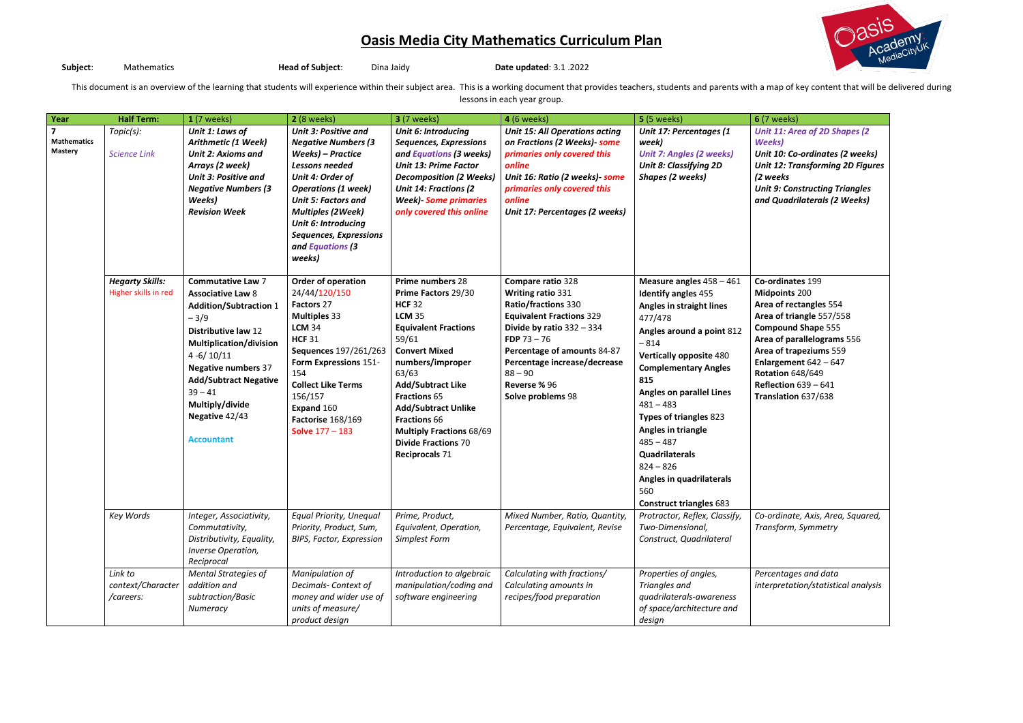**Subject**: Mathematics **Head of Subject**: Dina Jaidy **Date updated**: 3.1 .2022

This document is an overview of the learning that students will experience within their subject area. This is a working document that provides teachers, students and parents with a map of key content that will be delivered lessons in each year group.

| Year                                                            | <b>Half Term:</b>                              | $1(7$ weeks)                                                                                                                                                                                                                                                                                                          | <b>2</b> (8 weeks)                                                                                                                                                                                                                                                                                 | <b>3</b> (7 weeks)                                                                                                                                                                                                                                                                                                                                                       | <b>4</b> (6 weeks)                                                                                                                                                                                                                                                       | <b>5</b> (5 weeks)                                                                                                                                                                                                                                                                                                                                                                                                                    | <b>6</b> (7 weeks)                                                                                                                                                |
|-----------------------------------------------------------------|------------------------------------------------|-----------------------------------------------------------------------------------------------------------------------------------------------------------------------------------------------------------------------------------------------------------------------------------------------------------------------|----------------------------------------------------------------------------------------------------------------------------------------------------------------------------------------------------------------------------------------------------------------------------------------------------|--------------------------------------------------------------------------------------------------------------------------------------------------------------------------------------------------------------------------------------------------------------------------------------------------------------------------------------------------------------------------|--------------------------------------------------------------------------------------------------------------------------------------------------------------------------------------------------------------------------------------------------------------------------|---------------------------------------------------------------------------------------------------------------------------------------------------------------------------------------------------------------------------------------------------------------------------------------------------------------------------------------------------------------------------------------------------------------------------------------|-------------------------------------------------------------------------------------------------------------------------------------------------------------------|
| $\overline{\mathbf{z}}$<br><b>Mathematics</b><br><b>Mastery</b> | Topic(s):<br><b>Science Link</b>               | Unit 1: Laws of<br>Arithmetic (1 Week)<br><b>Unit 2: Axioms and</b><br>Arrays (2 week)<br><b>Unit 3: Positive and</b><br><b>Negative Numbers (3</b><br>Weeks)<br><b>Revision Week</b>                                                                                                                                 | <b>Unit 3: Positive and</b><br><b>Negative Numbers (3</b><br>Weeks) – Practice<br>Lessons needed<br>Unit 4: Order of<br><b>Operations (1 week)</b><br><b>Unit 5: Factors and</b><br><b>Multiples (2Week)</b><br>Unit 6: Introducing<br><b>Sequences, Expressions</b><br>and Equations (3<br>weeks) | <b>Unit 6: Introducing</b><br><b>Sequences, Expressions</b><br>and Equations (3 weeks)<br><b>Unit 13: Prime Factor</b><br><b>Decomposition (2 Weeks)</b><br><b>Unit 14: Fractions (2)</b><br><b>Week)</b> - Some primaries<br>only covered this online                                                                                                                   | <b>Unit 15: All Operations acting</b><br>on Fractions (2 Weeks)- some<br>primaries only covered this<br>online<br>Unit 16: Ratio (2 weeks)- some<br>primaries only covered this<br>online<br>Unit 17: Percentages (2 weeks)                                              | Unit 17: Percentages (1<br>week)<br><b>Unit 7: Angles (2 weeks)</b><br><b>Unit 8: Classifying 2D</b><br><b>Shapes (2 weeks)</b>                                                                                                                                                                                                                                                                                                       | <b>Unit 11: Ar</b><br>Weeks)<br><b>Unit 10: Co</b><br>Unit 12: Tro<br>(2 weeks<br>Unit 9: Con<br>and Quadr                                                        |
|                                                                 | <b>Hegarty Skills:</b><br>Higher skills in red | <b>Commutative Law 7</b><br><b>Associative Law 8</b><br><b>Addition/Subtraction 1</b><br>$-3/9$<br><b>Distributive law 12</b><br><b>Multiplication/division</b><br>$4 - 6/10/11$<br><b>Negative numbers 37</b><br><b>Add/Subtract Negative</b><br>$39 - 41$<br>Multiply/divide<br>Negative 42/43<br><b>Accountant</b> | Order of operation<br>24/44/120/150<br>Factors 27<br><b>Multiples 33</b><br><b>LCM 34</b><br><b>HCF 31</b><br>Sequences 197/261/263<br>Form Expressions 151-<br>154<br><b>Collect Like Terms</b><br>156/157<br>Expand 160<br>Factorise 168/169<br><b>Solve 177 - 183</b>                           | Prime numbers 28<br>Prime Factors 29/30<br><b>HCF 32</b><br><b>LCM 35</b><br><b>Equivalent Fractions</b><br>59/61<br><b>Convert Mixed</b><br>numbers/improper<br>63/63<br><b>Add/Subtract Like</b><br><b>Fractions 65</b><br><b>Add/Subtract Unlike</b><br><b>Fractions 66</b><br><b>Multiply Fractions 68/69</b><br><b>Divide Fractions 70</b><br><b>Reciprocals 71</b> | Compare ratio 328<br><b>Writing ratio 331</b><br>Ratio/fractions 330<br><b>Equivalent Fractions 329</b><br>Divide by ratio $332 - 334$<br>FDP $73 - 76$<br>Percentage of amounts 84-87<br>Percentage increase/decrease<br>$88 - 90$<br>Reverse % 96<br>Solve problems 98 | Measure angles $458 - 461$<br><b>Identify angles 455</b><br>Angles in straight lines<br>477/478<br>Angles around a point 812<br>$-814$<br><b>Vertically opposite 480</b><br><b>Complementary Angles</b><br>815<br><b>Angles on parallel Lines</b><br>$481 - 483$<br>Types of triangles 823<br>Angles in triangle<br>$485 - 487$<br>Quadrilaterals<br>$824 - 826$<br>Angles in quadrilaterals<br>560<br><b>Construct triangles 683</b> | Co-ordinat<br><b>Midpoints</b><br>Area of rec<br>Area of tria<br>Compound<br>Area of par<br>Area of tra<br>Enlargemer<br>Rotation 64<br>Reflection<br>Translation |
|                                                                 | Key Words                                      | Integer, Associativity,<br>Commutativity,<br>Distributivity, Equality,<br>Inverse Operation,<br>Reciprocal                                                                                                                                                                                                            | <b>Equal Priority, Unequal</b><br>Priority, Product, Sum,<br><b>BIPS, Factor, Expression</b>                                                                                                                                                                                                       | Prime, Product,<br>Equivalent, Operation,<br>Simplest Form                                                                                                                                                                                                                                                                                                               | Mixed Number, Ratio, Quantity,<br>Percentage, Equivalent, Revise                                                                                                                                                                                                         | Protractor, Reflex, Classify,<br>Two-Dimensional,<br>Construct, Quadrilateral                                                                                                                                                                                                                                                                                                                                                         | Co-ordinate<br>Transform,                                                                                                                                         |
|                                                                 | Link to<br>context/Character<br>/careers:      | <b>Mental Strategies of</b><br>addition and<br>subtraction/Basic<br>Numeracy                                                                                                                                                                                                                                          | Manipulation of<br>Decimals- Context of<br>money and wider use of<br>units of measure/<br>product design                                                                                                                                                                                           | Introduction to algebraic<br>manipulation/coding and<br>software engineering                                                                                                                                                                                                                                                                                             | Calculating with fractions/<br>Calculating amounts in<br>recipes/food preparation                                                                                                                                                                                        | Properties of angles,<br>Triangles and<br>quadrilaterals-awareness<br>of space/architecture and<br>design                                                                                                                                                                                                                                                                                                                             | Percentage<br>interpretat                                                                                                                                         |



*Unit 11: Area of 2D Shapes (2 Weeks) Unit 10: Co-ordinates (2 weeks)* **12: Transforming 2D Figures** *(2 weeks* **9: Constructing Triangles** *and Quadrilaterals (2 Weeks)* **Co-ordinates** 199 **Midpoints** 200 **Area of rectangles** 554 **Area of triangle** 557/558 **Compound Shape** 555 **Area of parallelograms** 556 **Area of trapeziums** 559 **Enlargement** 642 – 647 **Rotation** 648/649 **Reflection** 639 – 641 **Translation** 637/638 *Co-ordinate, Axis, Area, Squared, Transform, Symmetry Percentages and data interpretation/statistical analysis*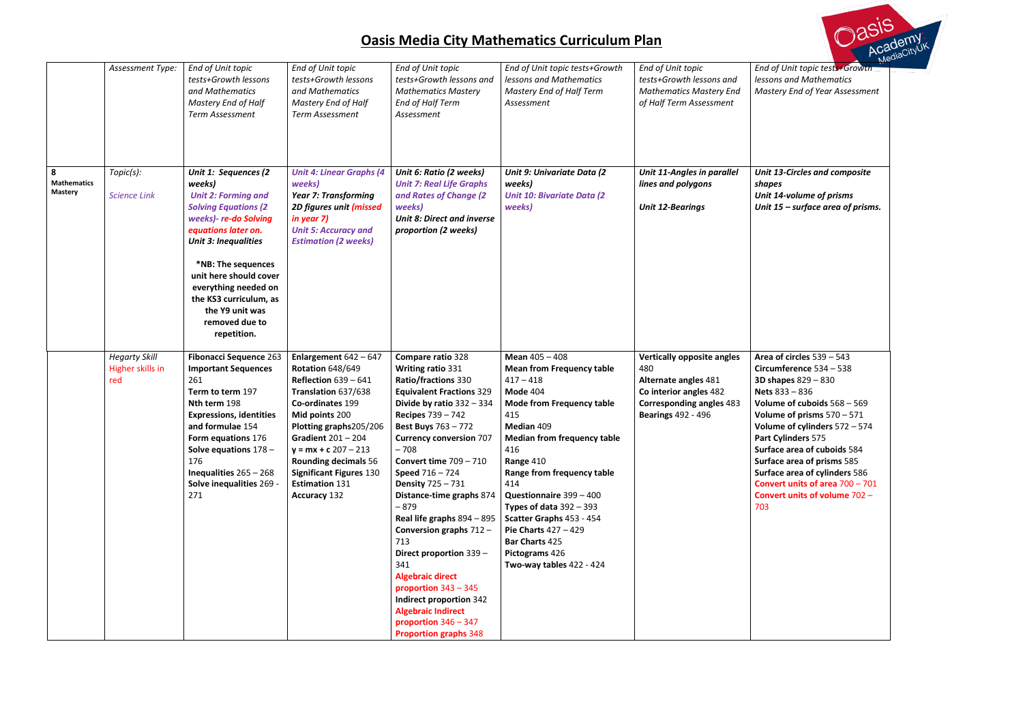*End of Unit topic tests+Growth lessons and Mathematics Mastery End of Year Assessment*

- *Unit 13-Circles and composite shapes Unit 14-volume of prisms*
- *Unit 15 – surface area of prisms.*

|                                           | Assessment Type:                                | End of Unit topic<br>tests+Growth lessons<br>and Mathematics<br>Mastery End of Half<br>Term Assessment                                                                                                                                                                                                                            | End of Unit topic<br>tests+Growth lessons<br>and Mathematics<br>Mastery End of Half<br><b>Term Assessment</b>                                                                                                                                                                                                                          | End of Unit topic<br>tests+Growth lessons and<br><b>Mathematics Mastery</b><br>End of Half Term<br>Assessment                                                                                                                                                                                                                                                                                                                                                                                                                                                                                                                                   | End of Unit topic tests+Growth<br>lessons and Mathematics<br>Mastery End of Half Term<br>Assessment                                                                                                                                                                                                                                                                                                                        | End of Unit topic<br>tests+Growth lessons and<br><b>Mathematics Mastery End</b><br>of Half Term Assessment                                                 | End c<br>lesso<br>Mast                                                                                                                         |
|-------------------------------------------|-------------------------------------------------|-----------------------------------------------------------------------------------------------------------------------------------------------------------------------------------------------------------------------------------------------------------------------------------------------------------------------------------|----------------------------------------------------------------------------------------------------------------------------------------------------------------------------------------------------------------------------------------------------------------------------------------------------------------------------------------|-------------------------------------------------------------------------------------------------------------------------------------------------------------------------------------------------------------------------------------------------------------------------------------------------------------------------------------------------------------------------------------------------------------------------------------------------------------------------------------------------------------------------------------------------------------------------------------------------------------------------------------------------|----------------------------------------------------------------------------------------------------------------------------------------------------------------------------------------------------------------------------------------------------------------------------------------------------------------------------------------------------------------------------------------------------------------------------|------------------------------------------------------------------------------------------------------------------------------------------------------------|------------------------------------------------------------------------------------------------------------------------------------------------|
| 8<br><b>Mathematics</b><br><b>Mastery</b> | Topic(s):<br><b>Science Link</b>                | Unit 1: Sequences (2<br>weeks)<br><b>Unit 2: Forming and</b><br><b>Solving Equations (2)</b><br>weeks)- re-do Solving<br>equations later on.<br><b>Unit 3: Inequalities</b><br>*NB: The sequences<br>unit here should cover<br>everything needed on<br>the KS3 curriculum, as<br>the Y9 unit was<br>removed due to<br>repetition. | <b>Unit 4: Linear Graphs (4</b><br>weeks)<br><b>Year 7: Transforming</b><br>2D figures unit (missed<br>in year 7)<br><b>Unit 5: Accuracy and</b><br><b>Estimation (2 weeks)</b>                                                                                                                                                        | Unit 6: Ratio (2 weeks)<br><b>Unit 7: Real Life Graphs</b><br>and Rates of Change (2)<br>weeks)<br><b>Unit 8: Direct and inverse</b><br>proportion (2 weeks)                                                                                                                                                                                                                                                                                                                                                                                                                                                                                    | Unit 9: Univariate Data (2<br>weeks)<br><b>Unit 10: Bivariate Data (2)</b><br>weeks)                                                                                                                                                                                                                                                                                                                                       | <b>Unit 11-Angles in parallel</b><br>lines and polygons<br><b>Unit 12-Bearings</b>                                                                         | Unit.<br>shap<br>Unit.<br>Unit.                                                                                                                |
|                                           | <b>Hegarty Skill</b><br>Higher skills in<br>red | <b>Fibonacci Sequence 263</b><br><b>Important Sequences</b><br>261<br>Term to term 197<br>Nth term 198<br><b>Expressions, identities</b><br>and formulae 154<br>Form equations 176<br>Solve equations $178 -$<br>176<br>Inequalities $265 - 268$<br>Solve inequalities 269 -<br>271                                               | Enlargement $642 - 647$<br><b>Rotation 648/649</b><br>Reflection $639 - 641$<br>Translation 637/638<br>Co-ordinates 199<br>Mid points 200<br>Plotting graphs205/206<br>Gradient $201 - 204$<br>$y = mx + c 207 - 213$<br><b>Rounding decimals 56</b><br><b>Significant Figures 130</b><br><b>Estimation 131</b><br><b>Accuracy 132</b> | Compare ratio 328<br>Writing ratio 331<br><b>Ratio/fractions 330</b><br><b>Equivalent Fractions 329</b><br>Divide by ratio $332 - 334$<br><b>Recipes 739 - 742</b><br><b>Best Buys 763 - 772</b><br><b>Currency conversion 707</b><br>$-708$<br>Convert time $709 - 710$<br><b>Speed 716 - 724</b><br><b>Density 725 - 731</b><br>Distance-time graphs 874<br>$-879$<br>Real life graphs 894 - 895<br>Conversion graphs $712 -$<br>713<br>Direct proportion 339 -<br>341<br><b>Algebraic direct</b><br>proportion $343 - 345$<br>Indirect proportion 342<br><b>Algebraic Indirect</b><br>proportion $346 - 347$<br><b>Proportion graphs 348</b> | Mean $405 - 408$<br><b>Mean from Frequency table</b><br>$417 - 418$<br>Mode 404<br><b>Mode from Frequency table</b><br>415<br>Median 409<br><b>Median from frequency table</b><br>416<br>Range 410<br>Range from frequency table<br>414<br>Questionnaire 399 - 400<br>Types of data $392 - 393$<br>Scatter Graphs 453 - 454<br><b>Pie Charts 427 - 429</b><br>Bar Charts 425<br>Pictograms 426<br>Two-way tables 422 - 424 | <b>Vertically opposite angles</b><br>480<br>Alternate angles 481<br>Co interior angles 482<br><b>Corresponding angles 483</b><br><b>Bearings 492 - 496</b> | Area<br><b>Circu</b><br>3D <sub>st</sub><br><b>Nets</b><br>Volur<br>Volur<br>Volur<br>Part (<br>Surfa<br>Surfa<br>Surfa<br>Conv<br>Conv<br>703 |



**Area of circles** 539 – 543 **Circumference** 534 – 538 **3D shapes** 829 – 830 **Nets** 833 – 836 **Volume of cuboids** 568 – 569 **Volume of prisms** 570 – 571 **Volume of cylinders** 572 – 574 **Part Cylinders** 575 **Surface area of cuboids** 584 **Surface area of prisms** 585 **Surface area of cylinders** 586 **Convert units of area** 700 – 701 **Convert units of volume** 702 –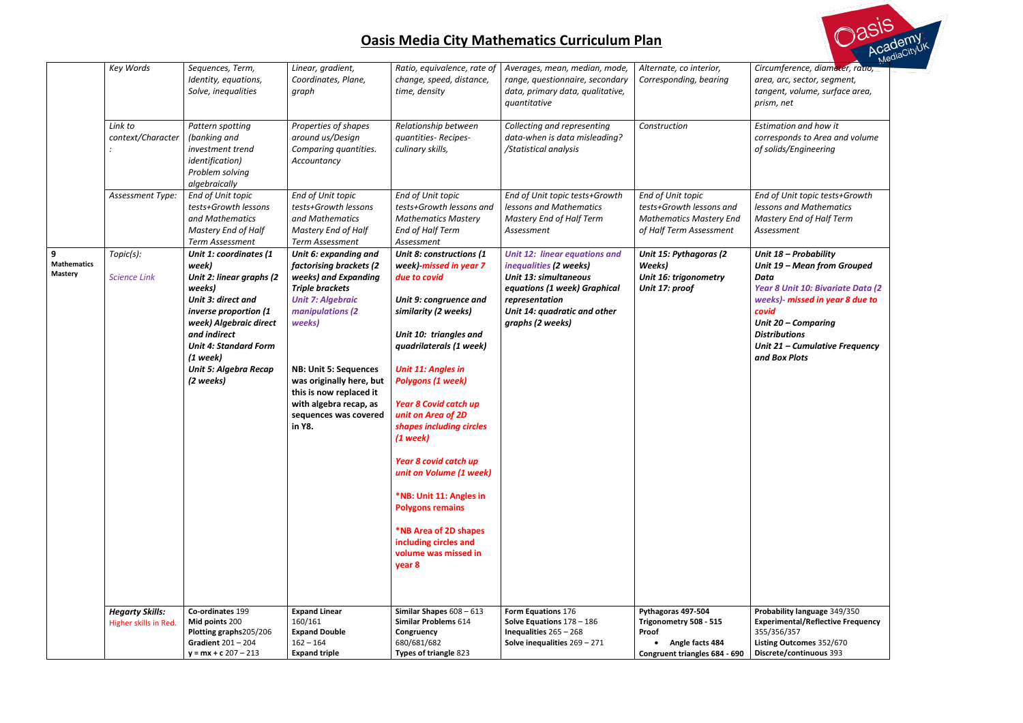*Circumference, diameter, ratio, area, arc, sector, segment, tangent, volume, surface area, prism, net*

*Construction Estimation and how it corresponds to Area and volume of solids/Engineering*

*End of Unit topic tests+Growth lessons and Mathematics Mastery End of Half Term Assessment*

|                                           | Key Words                                       | Sequences, Term,<br>Identity, equations,<br>Solve, inequalities                                                                                                                                                                                                  | Linear, gradient,<br>Coordinates, Plane,<br>graph                                                                                                                                                                                                                                                                | Ratio, equivalence, rate of<br>change, speed, distance,<br>time, density                                                                                                                                                                                                                                                                                                                                                                                                                                                         | Averages, mean, median, mode,<br>range, questionnaire, secondary<br>data, primary data, qualitative,<br>quantitative                                                                          | Alternate, co interior,<br>Corresponding, bearing                                                          | <b>Circu</b><br>area,<br>tange<br>prism                                                            |
|-------------------------------------------|-------------------------------------------------|------------------------------------------------------------------------------------------------------------------------------------------------------------------------------------------------------------------------------------------------------------------|------------------------------------------------------------------------------------------------------------------------------------------------------------------------------------------------------------------------------------------------------------------------------------------------------------------|----------------------------------------------------------------------------------------------------------------------------------------------------------------------------------------------------------------------------------------------------------------------------------------------------------------------------------------------------------------------------------------------------------------------------------------------------------------------------------------------------------------------------------|-----------------------------------------------------------------------------------------------------------------------------------------------------------------------------------------------|------------------------------------------------------------------------------------------------------------|----------------------------------------------------------------------------------------------------|
|                                           | Link to<br>context/Character                    | Pattern spotting<br>(banking and<br>investment trend<br><i>identification</i> )<br>Problem solving<br>algebraically                                                                                                                                              | Properties of shapes<br>around us/Design<br>Comparing quantities.<br>Accountancy                                                                                                                                                                                                                                 | Relationship between<br>quantities-Recipes-<br>culinary skills,                                                                                                                                                                                                                                                                                                                                                                                                                                                                  | Collecting and representing<br>data-when is data misleading?<br>/Statistical analysis                                                                                                         | Construction                                                                                               | Estim<br>corre<br>of sol                                                                           |
|                                           | Assessment Type:                                | End of Unit topic<br>tests+Growth lessons<br>and Mathematics<br>Mastery End of Half<br>Term Assessment                                                                                                                                                           | End of Unit topic<br>tests+Growth lessons<br>and Mathematics<br>Mastery End of Half<br>Term Assessment                                                                                                                                                                                                           | End of Unit topic<br>tests+Growth lessons and<br><b>Mathematics Mastery</b><br>End of Half Term<br>Assessment                                                                                                                                                                                                                                                                                                                                                                                                                    | End of Unit topic tests+Growth<br>lessons and Mathematics<br>Mastery End of Half Term<br>Assessment                                                                                           | End of Unit topic<br>tests+Growth lessons and<br><b>Mathematics Mastery End</b><br>of Half Term Assessment | End c<br>lessoi<br>Mast<br>Asses                                                                   |
| 9<br><b>Mathematics</b><br><b>Mastery</b> | Topic(s):<br><b>Science Link</b>                | Unit 1: coordinates (1<br>week)<br>Unit 2: linear graphs (2<br>weeks)<br><b>Unit 3: direct and</b><br>inverse proportion (1<br>week) Algebraic direct<br>and indirect<br><b>Unit 4: Standard Form</b><br>$(1$ week)<br><b>Unit 5: Algebra Recap</b><br>(2 weeks) | Unit 6: expanding and<br>factorising brackets (2<br>weeks) and Expanding<br><b>Triple brackets</b><br><b>Unit 7: Algebraic</b><br>manipulations (2<br>weeks)<br><b>NB: Unit 5: Sequences</b><br>was originally here, but<br>this is now replaced it<br>with algebra recap, as<br>sequences was covered<br>in Y8. | Unit 8: constructions (1<br>week)-missed in year 7<br>due to covid<br>Unit 9: congruence and<br>similarity (2 weeks)<br>Unit 10: triangles and<br>quadrilaterals (1 week)<br><b>Unit 11: Angles in</b><br><b>Polygons (1 week)</b><br><b>Year 8 Covid catch up</b><br>unit on Area of 2D<br>shapes including circles<br>$(1$ week)<br>Year 8 covid catch up<br>unit on Volume (1 week)<br>*NB: Unit 11: Angles in<br><b>Polygons remains</b><br>*NB Area of 2D shapes<br>including circles and<br>volume was missed in<br>year 8 | <b>Unit 12: linear equations and</b><br>inequalities (2 weeks)<br>Unit 13: simultaneous<br>equations (1 week) Graphical<br>representation<br>Unit 14: quadratic and other<br>graphs (2 weeks) | Unit 15: Pythagoras (2<br>Weeks)<br>Unit 16: trigonometry<br>Unit 17: proof                                | Unit.<br>Unit.<br><b>Data</b><br>Year<br>week<br>covid<br>Unit.<br>Distri<br>Unit.<br>and <b>E</b> |
|                                           | <b>Hegarty Skills:</b><br>Higher skills in Red. | Co-ordinates 199<br>Mid points 200<br>Plotting graphs205/206<br>Gradient $201 - 204$<br>$y = mx + c 207 - 213$                                                                                                                                                   | <b>Expand Linear</b><br>160/161<br><b>Expand Double</b><br>$162 - 164$<br><b>Expand triple</b>                                                                                                                                                                                                                   | Similar Shapes $608 - 613$<br><b>Similar Problems 614</b><br>Congruency<br>680/681/682<br>Types of triangle 823                                                                                                                                                                                                                                                                                                                                                                                                                  | Form Equations 176<br>Solve Equations $178 - 186$<br>Inequalities $265 - 268$<br>Solve inequalities $269 - 271$                                                                               | Pythagoras 497-504<br>Trigonometry 508 - 515<br>Proof<br>Angle facts 484<br>Congruent triangles 684 - 690  | Proba<br><b>Exper</b><br>355/3<br>Listing<br>Discre                                                |

 $\overrightarrow{cis}$ Media

*Unit 18 – Probability Unit 19 – Mean from Grouped* 

*Year 8 Unit 10: Bivariate Data (2 weeks)- missed in year 8 due to* 

*Unit 20 – Comparing Distributions Unit 21 – Cumulative Frequency and Box Plots*

**Probability language** 349/350 **Experimental/Reflective Frequency**  355/356/357 **Listing Outcomes** 352/670 **Discrete/continuous** 393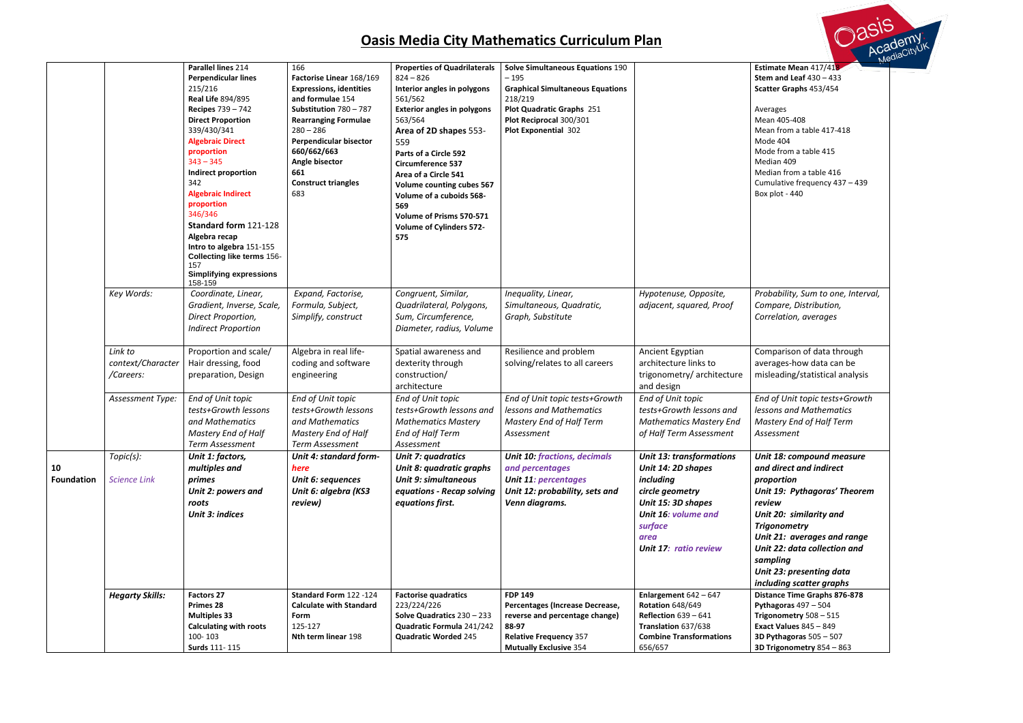- ages  $\frac{1}{1}$ 405-408 from a table 417-418  $.404$ from a table 415 ian 409
- ian from a table 416
- ulative frequency 437 439
- Box plot 440

## **Estimate Mean** 417/418 **Stem and Leaf** 430 – 433 **Scatter Graphs** 453/454

*Probability, Sum to one, Interval, Compare, Distribution, Correlation, averages*

parison of data through ages-how data can be eading/statistical analysis

|                         |                                           | Parallel lines 214<br><b>Perpendicular lines</b><br>215/216<br><b>Real Life 894/895</b><br><b>Recipes 739 - 742</b><br><b>Direct Proportion</b><br>339/430/341<br><b>Algebraic Direct</b><br>proportion<br>$343 - 345$<br>Indirect proportion<br>342<br><b>Algebraic Indirect</b><br>proportion<br>346/346<br>Standard form 121-128<br>Algebra recap<br>Intro to algebra 151-155<br><b>Collecting like terms 156-</b><br>157<br><b>Simplifying expressions</b><br>158-159 | 166<br>Factorise Linear 168/169<br><b>Expressions, identities</b><br>and formulae 154<br>Substitution 780 - 787<br><b>Rearranging Formulae</b><br>$280 - 286$<br>Perpendicular bisector<br>660/662/663<br>Angle bisector<br>661<br><b>Construct triangles</b><br>683 | <b>Properties of Quadrilaterals</b><br>$824 - 826$<br>Interior angles in polygons<br>561/562<br><b>Exterior angles in polygons</b><br>563/564<br>Area of 2D shapes 553-<br>559<br>Parts of a Circle 592<br><b>Circumference 537</b><br>Area of a Circle 541<br><b>Volume counting cubes 567</b><br>Volume of a cuboids 568-<br>569<br>Volume of Prisms 570-571<br><b>Volume of Cylinders 572-</b><br>575 | <b>Solve Simultaneous Equations 190</b><br>$-195$<br><b>Graphical Simultaneous Equations</b><br>218/219<br><b>Plot Quadratic Graphs 251</b><br>Plot Reciprocal 300/301<br><b>Plot Exponential 302</b> |                                                                                                                                                                                       | <b>Estim</b><br>Stem<br>Scatte<br>Avera<br>Mean<br>Mean<br>Mode<br>Mode<br>Media<br>Media<br>Cumu<br>Box p     |
|-------------------------|-------------------------------------------|---------------------------------------------------------------------------------------------------------------------------------------------------------------------------------------------------------------------------------------------------------------------------------------------------------------------------------------------------------------------------------------------------------------------------------------------------------------------------|----------------------------------------------------------------------------------------------------------------------------------------------------------------------------------------------------------------------------------------------------------------------|----------------------------------------------------------------------------------------------------------------------------------------------------------------------------------------------------------------------------------------------------------------------------------------------------------------------------------------------------------------------------------------------------------|-------------------------------------------------------------------------------------------------------------------------------------------------------------------------------------------------------|---------------------------------------------------------------------------------------------------------------------------------------------------------------------------------------|----------------------------------------------------------------------------------------------------------------|
|                         | Key Words:                                | Coordinate, Linear,<br>Gradient, Inverse, Scale,<br>Direct Proportion,<br><b>Indirect Proportion</b>                                                                                                                                                                                                                                                                                                                                                                      | Expand, Factorise,<br>Formula, Subject,<br>Simplify, construct                                                                                                                                                                                                       | Congruent, Similar,<br>Quadrilateral, Polygons,<br>Sum, Circumference,<br>Diameter, radius, Volume                                                                                                                                                                                                                                                                                                       | Inequality, Linear,<br>Simultaneous, Quadratic,<br>Graph, Substitute                                                                                                                                  | Hypotenuse, Opposite,<br>adjacent, squared, Proof                                                                                                                                     | Probo<br>Comp<br>Corre                                                                                         |
|                         | Link to<br>context/Character<br>/Careers: | Proportion and scale/<br>Hair dressing, food<br>preparation, Design                                                                                                                                                                                                                                                                                                                                                                                                       | Algebra in real life-<br>coding and software<br>engineering                                                                                                                                                                                                          | Spatial awareness and<br>dexterity through<br>construction/<br>architecture                                                                                                                                                                                                                                                                                                                              | Resilience and problem<br>solving/relates to all careers                                                                                                                                              | Ancient Egyptian<br>architecture links to<br>trigonometry/architecture<br>and design                                                                                                  | Comp<br>avera<br>misle                                                                                         |
|                         | Assessment Type:                          | End of Unit topic<br>tests+Growth lessons<br>and Mathematics<br>Mastery End of Half<br>Term Assessment                                                                                                                                                                                                                                                                                                                                                                    | End of Unit topic<br>tests+Growth lessons<br>and Mathematics<br>Mastery End of Half<br>Term Assessment                                                                                                                                                               | End of Unit topic<br>tests+Growth lessons and<br><b>Mathematics Mastery</b><br>End of Half Term<br>Assessment                                                                                                                                                                                                                                                                                            | End of Unit topic tests+Growth<br>lessons and Mathematics<br>Mastery End of Half Term<br>Assessment                                                                                                   | End of Unit topic<br>tests+Growth lessons and<br><b>Mathematics Mastery End</b><br>of Half Term Assessment                                                                            | End c<br>lesso<br>Mast<br>Asses                                                                                |
| 10<br><b>Foundation</b> | Topic(s):<br><b>Science Link</b>          | Unit 1: factors,<br>multiples and<br>primes<br>Unit 2: powers and<br>roots<br><b>Unit 3: indices</b>                                                                                                                                                                                                                                                                                                                                                                      | Unit 4: standard form-<br>here<br>Unit 6: sequences<br>Unit 6: algebra (KS3<br>review)                                                                                                                                                                               | Unit 7: quadratics<br>Unit 8: quadratic graphs<br><b>Unit 9: simultaneous</b><br>equations - Recap solving<br>equations first.                                                                                                                                                                                                                                                                           | <b>Unit 10: fractions, decimals</b><br>and percentages<br><b>Unit 11: percentages</b><br>Unit 12: probability, sets and<br>Venn diagrams.                                                             | <b>Unit 13: transformations</b><br>Unit 14: 2D shapes<br>including<br>circle geometry<br>Unit 15: 3D shapes<br>Unit 16: volume and<br>surface<br>area<br><b>Unit 17: ratio review</b> | Unit.<br>and c<br>prope<br>Unit.<br>revie<br>Unit.<br><b>Trigo</b><br>Unit.<br>Unit.<br>samp<br>Unit.<br>inclu |
|                         | <b>Hegarty Skills:</b>                    | <b>Factors 27</b><br>Primes 28<br><b>Multiples 33</b><br><b>Calculating with roots</b><br>100-103<br>Surds 111-115                                                                                                                                                                                                                                                                                                                                                        | Standard Form 122 -124<br><b>Calculate with Standard</b><br>Form<br>125-127<br>Nth term linear 198                                                                                                                                                                   | <b>Factorise quadratics</b><br>223/224/226<br>Solve Quadratics 230 - 233<br>Quadratic Formula 241/242<br><b>Quadratic Worded 245</b>                                                                                                                                                                                                                                                                     | <b>FDP 149</b><br>Percentages (Increase Decrease,<br>reverse and percentage change)<br>88-97<br><b>Relative Frequency 357</b><br><b>Mutually Exclusive 354</b>                                        | Enlargement $642 - 647$<br><b>Rotation 648/649</b><br>Reflection $639 - 641$<br>Translation 637/638<br><b>Combine Transformations</b><br>656/657                                      | Distar<br>Pytha<br><b>Trigor</b><br><b>Exact</b><br>3D Py<br>3D Tri                                            |



18: compound measure *and direct and indirect proportion* 19: Pythagoras' Theorem *review* 20: similarity and *Trigonometry*  **21: averages and range** 22: data collection and *sampling Unit 23: presenting data including scatter graphs* **nce Time Graphs 876-878 Pythagoras** 497 – 504 **Trigonometry** 508 – 515 **Exact Values** 845 – 849 **3D Pythagoras** 505 – 507 **3D Trigonometry** 854 – 863

*End of Unit topic tests+Growth lessons and Mathematics Mastery End of Half Term Assessment*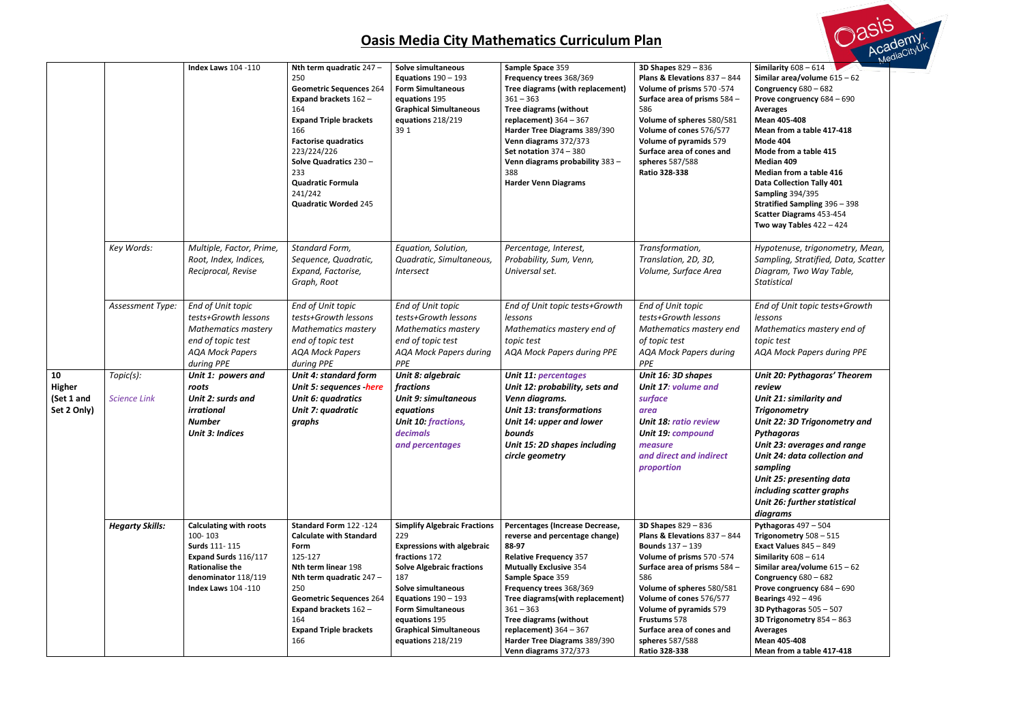**Similarity** 608 – 614 **Similar area/volume** 615 – 62 **Congruency** 680 – 682 **Prove congruency** 684 – 690 rages **Mean 405-408 Mean from a table 417-418 Mode 404 Mode from a table 415 Median 409 Median from a table 416 Data Collection Tally 401** 

- **Sampling** 394/395
- **Stratified Sampling** 396 398
- **Scatter Diagrams** 453-454
- **way Tables** 422 424

*End of Unit topic tests+Growth lessons Mathematics mastery end of topic test* A Mock Papers during PPE

*Hypotenuse, trigonometry, Mean, Sampling, Stratified, Data, Scatter Diagram, Two Way Table, Statistical* 

|                                                  |                                  | <b>Index Laws 104 -110</b>                                                                                                                                       | Nth term quadratic 247 -<br>250<br><b>Geometric Sequences 264</b><br>Expand brackets 162 -<br>164<br><b>Expand Triple brackets</b><br>166<br><b>Factorise quadratics</b><br>223/224/226<br>Solve Quadratics 230 -<br>233<br><b>Quadratic Formula</b><br>241/242<br><b>Quadratic Worded 245</b> | <b>Solve simultaneous</b><br>Equations $190 - 193$<br><b>Form Simultaneous</b><br>equations 195<br><b>Graphical Simultaneous</b><br>equations 218/219<br>39 1                                                                                                                                        | Sample Space 359<br>Frequency trees 368/369<br>Tree diagrams (with replacement)<br>$361 - 363$<br><b>Tree diagrams (without</b><br>replacement) $364 - 367$<br>Harder Tree Diagrams 389/390<br>Venn diagrams 372/373<br>Set notation $374 - 380$<br>Venn diagrams probability 383-<br>388<br><b>Harder Venn Diagrams</b>                                            | <b>3D Shapes 829 - 836</b><br>Plans & Elevations 837 - 844<br>Volume of prisms 570 -574<br>Surface area of prisms 584 -<br>586<br>Volume of spheres 580/581<br>Volume of cones 576/577<br>Volume of pyramids 579<br>Surface area of cones and<br>spheres 587/588<br>Ratio 328-338                                              | Similarity $608 - 614$<br>Similar area/volume $615 - 6$<br>Congruency $680 - 682$<br>Prove congruency 684 - 690<br><b>Averages</b><br>Mean 405-408<br>Mean from a table 417-418<br><b>Mode 404</b><br>Mode from a table 415<br>Median 409<br>Median from a table 416<br><b>Data Collection Tally 401</b><br><b>Sampling 394/395</b><br><b>Stratified Sampling 396 - 39</b><br>Scatter Diagrams 453-454<br>Two way Tables $422 - 424$ |
|--------------------------------------------------|----------------------------------|------------------------------------------------------------------------------------------------------------------------------------------------------------------|------------------------------------------------------------------------------------------------------------------------------------------------------------------------------------------------------------------------------------------------------------------------------------------------|------------------------------------------------------------------------------------------------------------------------------------------------------------------------------------------------------------------------------------------------------------------------------------------------------|---------------------------------------------------------------------------------------------------------------------------------------------------------------------------------------------------------------------------------------------------------------------------------------------------------------------------------------------------------------------|--------------------------------------------------------------------------------------------------------------------------------------------------------------------------------------------------------------------------------------------------------------------------------------------------------------------------------|--------------------------------------------------------------------------------------------------------------------------------------------------------------------------------------------------------------------------------------------------------------------------------------------------------------------------------------------------------------------------------------------------------------------------------------|
|                                                  | Key Words:                       | Multiple, Factor, Prime,<br>Root, Index, Indices,<br>Reciprocal, Revise                                                                                          | Standard Form,<br>Sequence, Quadratic,<br>Expand, Factorise,<br>Graph, Root                                                                                                                                                                                                                    | Equation, Solution,<br>Quadratic, Simultaneous,<br><i><b>Intersect</b></i>                                                                                                                                                                                                                           | Percentage, Interest,<br>Probability, Sum, Venn,<br>Universal set.                                                                                                                                                                                                                                                                                                  | Transformation,<br>Translation, 2D, 3D,<br>Volume, Surface Area                                                                                                                                                                                                                                                                | Hypotenuse, trigonometry<br>Sampling, Stratified, Data<br>Diagram, Two Way Table,<br><b>Statistical</b>                                                                                                                                                                                                                                                                                                                              |
|                                                  | Assessment Type:                 | End of Unit topic<br>tests+Growth lessons<br><b>Mathematics mastery</b><br>end of topic test<br><b>AQA Mock Papers</b><br>during PPE                             | End of Unit topic<br>tests+Growth lessons<br><b>Mathematics mastery</b><br>end of topic test<br><b>AQA Mock Papers</b><br>during PPE                                                                                                                                                           | End of Unit topic<br>tests+Growth lessons<br><b>Mathematics mastery</b><br>end of topic test<br><b>AQA Mock Papers during</b><br>PPE                                                                                                                                                                 | End of Unit topic tests+Growth<br>lessons<br>Mathematics mastery end of<br>topic test<br><b>AQA Mock Papers during PPE</b>                                                                                                                                                                                                                                          | End of Unit topic<br>tests+Growth lessons<br>Mathematics mastery end<br>of topic test<br><b>AQA Mock Papers during</b><br>PPE                                                                                                                                                                                                  | End of Unit topic tests+Gr<br>lessons<br>Mathematics mastery end<br>topic test<br><b>AQA Mock Papers during</b>                                                                                                                                                                                                                                                                                                                      |
| 10<br><b>Higher</b><br>(Set 1 and<br>Set 2 Only) | Topic(s):<br><b>Science Link</b> | Unit 1: powers and<br>roots<br>Unit 2: surds and<br>irrational<br><b>Number</b><br><b>Unit 3: Indices</b>                                                        | <b>Unit 4: standard form</b><br>Unit 5: sequences -here<br>Unit 6: quadratics<br>Unit 7: quadratic<br>graphs                                                                                                                                                                                   | Unit 8: algebraic<br><i>fractions</i><br><b>Unit 9: simultaneous</b><br>equations<br>Unit 10: fractions,<br><b>decimals</b><br>and percentages                                                                                                                                                       | <b>Unit 11: percentages</b><br>Unit 12: probability, sets and<br>Venn diagrams.<br><b>Unit 13: transformations</b><br>Unit 14: upper and lower<br>bounds<br>Unit 15: 2D shapes including<br>circle geometry                                                                                                                                                         | Unit 16: 3D shapes<br>Unit 17: volume and<br>surface<br>area<br><b>Unit 18: ratio review</b><br><b>Unit 19: compound</b><br>measure<br>and direct and indirect<br>proportion                                                                                                                                                   | Unit 20: Pythagoras' The<br>review<br>Unit 21: similarity and<br><b>Trigonometry</b><br>Unit 22: 3D Trigonometry<br>Pythagoras<br>Unit 23: averages and rai<br>Unit 24: data collection a<br>sampling<br>Unit 25: presenting data<br>including scatter graphs<br>Unit 26: further statistica<br>diagrams                                                                                                                             |
|                                                  | <b>Hegarty Skills:</b>           | <b>Calculating with roots</b><br>100-103<br>Surds 111-115<br>Expand Surds 116/117<br><b>Rationalise the</b><br>denominator 118/119<br><b>Index Laws 104 -110</b> | Standard Form 122 -124<br><b>Calculate with Standard</b><br><b>Form</b><br>125-127<br>Nth term linear 198<br>Nth term quadratic 247 -<br>250<br><b>Geometric Sequences 264</b><br>Expand brackets 162 -<br>164<br><b>Expand Triple brackets</b><br>166                                         | <b>Simplify Algebraic Fractions</b><br>229<br><b>Expressions with algebraic</b><br>fractions 172<br><b>Solve Algebraic fractions</b><br>187<br><b>Solve simultaneous</b><br>Equations $190 - 193$<br><b>Form Simultaneous</b><br>equations 195<br><b>Graphical Simultaneous</b><br>equations 218/219 | Percentages (Increase Decrease,<br>reverse and percentage change)<br>88-97<br><b>Relative Frequency 357</b><br><b>Mutually Exclusive 354</b><br>Sample Space 359<br>Frequency trees 368/369<br>Tree diagrams(with replacement)<br>$361 - 363$<br><b>Tree diagrams (without</b><br>replacement) $364 - 367$<br>Harder Tree Diagrams 389/390<br>Venn diagrams 372/373 | <b>3D Shapes 829 - 836</b><br>Plans & Elevations 837 - 844<br><b>Bounds</b> $137 - 139$<br>Volume of prisms 570 -574<br>Surface area of prisms 584 -<br>586<br>Volume of spheres 580/581<br>Volume of cones 576/577<br>Volume of pyramids 579<br>Frustums 578<br>Surface area of cones and<br>spheres 587/588<br>Ratio 328-338 | Pythagoras $497 - 504$<br>Trigonometry 508 - 515<br><b>Exact Values 845 - 849</b><br>Similarity $608 - 614$<br>Similar area/volume $615 - 6$<br>Congruency $680 - 682$<br>Prove congruency 684 - 690<br><b>Bearings</b> 492 - 496<br>3D Pythagoras $505 - 507$<br>3D Trigonometry 854 - 863<br>Averages<br>Mean 405-408<br>Mean from a table 417-418                                                                                 |



*Unit 20: Pythagoras' Theorem review Unit 21: similarity and Trigonometry Unit 22: 3D Trigonometry and Pythagoras Unit 23: averages and range*

*Unit 24: data collection and sampling*

*Unit 26: further statistical*

**Trigonometry** 508 – 515 **Exact Values** 845 – 849 **Similarity** 608 – 614 **Similar area/volume** 615 – 62 **Congruency** 680 – 682 **Prove congruency** 684 – 690 **Bearings** 492 – 496 **3D Pythagoras** 505 – 507 **3D Trigonometry** 854 – 863 rages **Mean 405-408**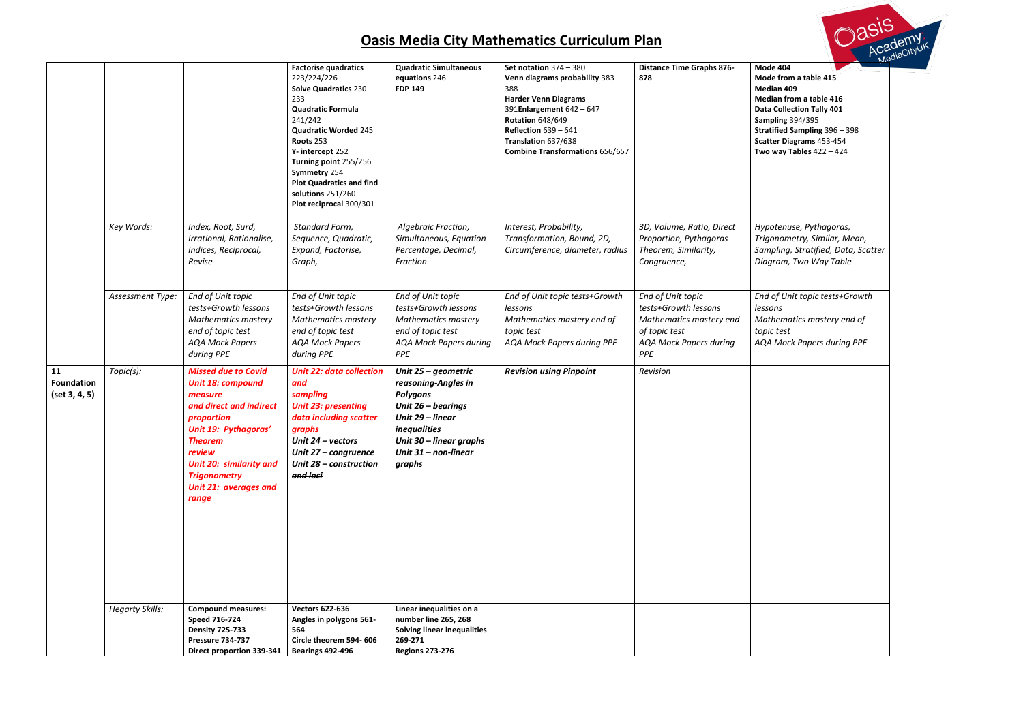- **Mode 404 Mode from a table 415**
- **Median 409**
- **Median from a table 416**
- **R** Collection Tally 401
- **Sampling** 394/395
- **Stratified Sampling** 396 398
	- **Scatter Diagrams** 453-454
	- **way Tables** 422 424

*Hypotenuse, Pythagoras, Trigonometry, Similar, Mean, Sampling, Stratified, Data, Scatter Diagram, Two Way Table*

|                                          |                        |                                                                                                                                                                                                                                                    | <b>Factorise quadratics</b><br>223/224/226<br>Solve Quadratics 230 -<br>233<br><b>Quadratic Formula</b><br>241/242<br><b>Quadratic Worded 245</b><br>Roots 253<br>Y-intercept 252<br>Turning point 255/256<br>Symmetry 254<br><b>Plot Quadratics and find</b><br>solutions 251/260<br>Plot reciprocal 300/301 | <b>Quadratic Simultaneous</b><br>equations 246<br><b>FDP 149</b>                                                                                                                            | Set notation $374 - 380$<br>Venn diagrams probability 383 -<br>388<br><b>Harder Venn Diagrams</b><br>391Enlargement 642 - 647<br><b>Rotation 648/649</b><br>Reflection $639 - 641$<br>Translation 637/638<br><b>Combine Transformations 656/657</b> | <b>Distance Time Graphs 876-</b><br>878                                                                                       | Mod<br>Mod<br>Med<br>Med<br>Data<br>Sam<br><b>Strat</b><br>Scatt<br>Two |
|------------------------------------------|------------------------|----------------------------------------------------------------------------------------------------------------------------------------------------------------------------------------------------------------------------------------------------|---------------------------------------------------------------------------------------------------------------------------------------------------------------------------------------------------------------------------------------------------------------------------------------------------------------|---------------------------------------------------------------------------------------------------------------------------------------------------------------------------------------------|-----------------------------------------------------------------------------------------------------------------------------------------------------------------------------------------------------------------------------------------------------|-------------------------------------------------------------------------------------------------------------------------------|-------------------------------------------------------------------------|
|                                          | Key Words:             | Index, Root, Surd,<br>Irrational, Rationalise,<br>Indices, Reciprocal,<br>Revise                                                                                                                                                                   | Standard Form,<br>Sequence, Quadratic,<br>Expand, Factorise,<br>Graph,                                                                                                                                                                                                                                        | Algebraic Fraction,<br>Simultaneous, Equation<br>Percentage, Decimal,<br>Fraction                                                                                                           | Interest, Probability,<br>Transformation, Bound, 2D,<br>Circumference, diameter, radius                                                                                                                                                             | 3D, Volume, Ratio, Direct<br>Proportion, Pythagoras<br>Theorem, Similarity,<br>Congruence,                                    | Hype<br>Trigo<br>Sam<br>Diag                                            |
|                                          | Assessment Type:       | End of Unit topic<br>tests+Growth lessons<br><b>Mathematics mastery</b><br>end of topic test<br><b>AQA Mock Papers</b><br>during PPE                                                                                                               | End of Unit topic<br>tests+Growth lessons<br><b>Mathematics mastery</b><br>end of topic test<br><b>AQA Mock Papers</b><br>during PPE                                                                                                                                                                          | End of Unit topic<br>tests+Growth lessons<br><b>Mathematics mastery</b><br>end of topic test<br><b>AQA Mock Papers during</b><br>PPE                                                        | End of Unit topic tests+Growth<br>lessons<br>Mathematics mastery end of<br>topic test<br>AQA Mock Papers during PPE                                                                                                                                 | End of Unit topic<br>tests+Growth lessons<br>Mathematics mastery end<br>of topic test<br><b>AQA Mock Papers during</b><br>PPE | End<br>lesso<br>Mat<br>topio<br><b>AQA</b>                              |
| 11<br><b>Foundation</b><br>(set 3, 4, 5) | Topic(s):              | <b>Missed due to Covid</b><br><b>Unit 18: compound</b><br>measure<br>and direct and indirect<br>proportion<br>Unit 19: Pythagoras'<br><b>Theorem</b><br>review<br>Unit 20: similarity and<br><b>Trigonometry</b><br>Unit 21: averages and<br>range | <b>Unit 22: data collection</b><br>and<br>sampling<br><b>Unit 23: presenting</b><br>data including scatter<br>graphs<br>Unit 24 - vectors<br>Unit 27 - congruence<br>Unit 28 - construction<br>and loci                                                                                                       | Unit 25 - geometric<br>reasoning-Angles in<br><b>Polygons</b><br>Unit 26 - bearings<br>Unit 29 - linear<br><i>inequalities</i><br>Unit 30 - linear graphs<br>Unit 31 - non-linear<br>graphs | <b>Revision using Pinpoint</b>                                                                                                                                                                                                                      | Revision                                                                                                                      |                                                                         |
|                                          | <b>Hegarty Skills:</b> | <b>Compound measures:</b><br><b>Speed 716-724</b><br><b>Density 725-733</b><br><b>Pressure 734-737</b><br>Direct proportion 339-341                                                                                                                | <b>Vectors 622-636</b><br>Angles in polygons 561-<br>564<br>Circle theorem 594-606<br><b>Bearings 492-496</b>                                                                                                                                                                                                 | Linear inequalities on a<br>number line 265, 268<br><b>Solving linear inequalities</b><br>269-271<br><b>Regions 273-276</b>                                                                 |                                                                                                                                                                                                                                                     |                                                                                                                               |                                                                         |

Dasis Academy<br>Academy

*End of Unit topic tests+Growth lessons Mathematics mastery end of topic test AQA Mock Papers during PPE*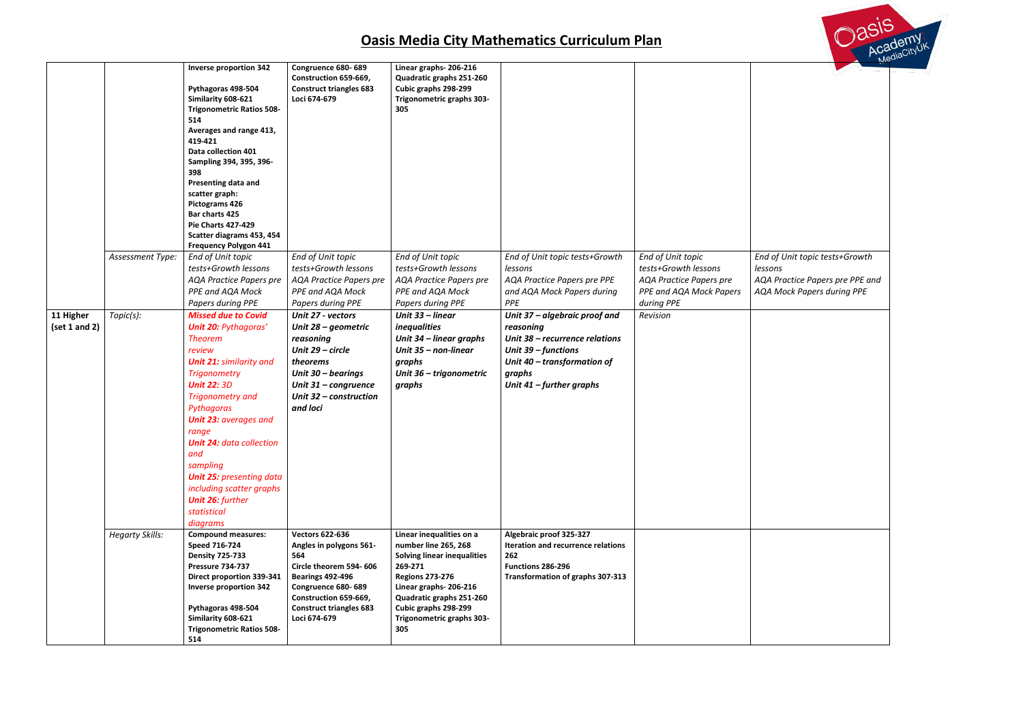*End of Unit topic tests+Growth lessons AQA Practice Papers pre PPE and AQA Mock Papers during PPE*

|                            |                        | <b>Inverse proportion 342</b><br>Pythagoras 498-504<br>Similarity 608-621<br><b>Trigonometric Ratios 508-</b><br>514<br>Averages and range 413,<br>419-421<br>Data collection 401<br>Sampling 394, 395, 396-<br>398<br>Presenting data and<br>scatter graph:<br><b>Pictograms 426</b><br>Bar charts 425<br><b>Pie Charts 427-429</b><br>Scatter diagrams 453, 454<br><b>Frequency Polygon 441</b>                                 | Congruence 680-689<br>Construction 659-669,<br><b>Construct triangles 683</b><br>Loci 674-679                                                                                                                  | Linear graphs-206-216<br>Quadratic graphs 251-260<br>Cubic graphs 298-299<br>Trigonometric graphs 303-<br>305                                                                                                                                |                                                                                                                                                                            |                                                                                                                      |                           |
|----------------------------|------------------------|-----------------------------------------------------------------------------------------------------------------------------------------------------------------------------------------------------------------------------------------------------------------------------------------------------------------------------------------------------------------------------------------------------------------------------------|----------------------------------------------------------------------------------------------------------------------------------------------------------------------------------------------------------------|----------------------------------------------------------------------------------------------------------------------------------------------------------------------------------------------------------------------------------------------|----------------------------------------------------------------------------------------------------------------------------------------------------------------------------|----------------------------------------------------------------------------------------------------------------------|---------------------------|
|                            | Assessment Type:       | End of Unit topic<br>tests+Growth lessons<br><b>AQA Practice Papers pre</b><br>PPE and AQA Mock<br>Papers during PPE                                                                                                                                                                                                                                                                                                              | End of Unit topic<br>tests+Growth lessons<br><b>AQA Practice Papers pre</b><br>PPE and AQA Mock<br>Papers during PPE                                                                                           | End of Unit topic<br>tests+Growth lessons<br><b>AQA Practice Papers pre</b><br>PPE and AQA Mock<br>Papers during PPE                                                                                                                         | End of Unit topic tests+Growth<br>lessons<br>AQA Practice Papers pre PPE<br>and AQA Mock Papers during<br>PPE                                                              | End of Unit topic<br>tests+Growth lessons<br><b>AQA Practice Papers pre</b><br>PPE and AQA Mock Papers<br>during PPE | End<br>less<br>AQA<br>AQA |
| 11 Higher<br>(set 1 and 2) | Topic(s):              | <b>Missed due to Covid</b><br><b>Unit 20: Pythagoras'</b><br><b>Theorem</b><br>review<br><b>Unit 21: similarity and</b><br><b>Trigonometry</b><br><b>Unit 22: 3D</b><br><b>Trigonometry and</b><br>Pythagoras<br><b>Unit 23: averages and</b><br>range<br><b>Unit 24: data collection</b><br>and<br>sampling<br><b>Unit 25: presenting data</b><br>including scatter graphs<br><b>Unit 26: further</b><br>statistical<br>diagrams | Unit 27 - vectors<br>Unit 28 - geometric<br>reasoning<br>Unit 29 - circle<br>theorems<br>Unit 30 - bearings<br>Unit 31 - congruence<br>Unit 32 - construction<br>and loci                                      | Unit 33 - linear<br><i>inequalities</i><br>Unit 34 - linear graphs<br>Unit 35 - non-linear<br>graphs<br>Unit 36 - trigonometric<br>graphs                                                                                                    | Unit 37 - algebraic proof and<br>reasoning<br>Unit 38 – recurrence relations<br>Unit 39 - functions<br>Unit 40 - transformation of<br>graphs<br>Unit $41$ – further graphs | Revision                                                                                                             |                           |
|                            | <b>Hegarty Skills:</b> | <b>Compound measures:</b><br>Speed 716-724<br><b>Density 725-733</b><br><b>Pressure 734-737</b><br>Direct proportion 339-341<br><b>Inverse proportion 342</b><br>Pythagoras 498-504<br>Similarity 608-621<br><b>Trigonometric Ratios 508-</b><br>514                                                                                                                                                                              | <b>Vectors 622-636</b><br>Angles in polygons 561-<br>564<br>Circle theorem 594-606<br><b>Bearings 492-496</b><br>Congruence 680-689<br>Construction 659-669,<br><b>Construct triangles 683</b><br>Loci 674-679 | Linear inequalities on a<br>number line 265, 268<br><b>Solving linear inequalities</b><br>269-271<br><b>Regions 273-276</b><br>Linear graphs-206-216<br>Quadratic graphs 251-260<br>Cubic graphs 298-299<br>Trigonometric graphs 303-<br>305 | Algebraic proof 325-327<br>Iteration and recurrence relations<br>262<br>Functions 286-296<br><b>Transformation of graphs 307-313</b>                                       |                                                                                                                      |                           |

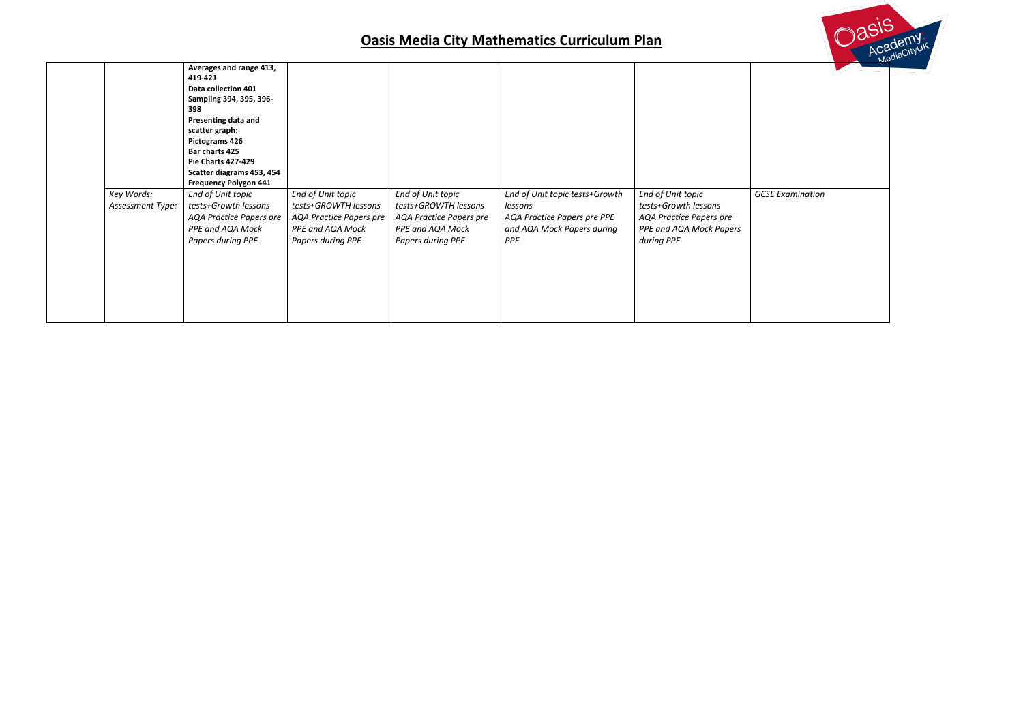| Key Words:       | Averages and range 413,<br>419-421<br>Data collection 401<br>Sampling 394, 395, 396-<br>398<br>Presenting data and<br>scatter graph:<br>Pictograms 426<br>Bar charts 425<br><b>Pie Charts 427-429</b><br>Scatter diagrams 453, 454<br><b>Frequency Polygon 441</b><br>End of Unit topic | End of Unit topic                                                                               | End of Unit topic                                                                               | End of Unit topic tests+Growth                                              | End of Unit topic                                                                        | GCSL |
|------------------|-----------------------------------------------------------------------------------------------------------------------------------------------------------------------------------------------------------------------------------------------------------------------------------------|-------------------------------------------------------------------------------------------------|-------------------------------------------------------------------------------------------------|-----------------------------------------------------------------------------|------------------------------------------------------------------------------------------|------|
| Assessment Type: | tests+Growth lessons<br><b>AQA Practice Papers pre</b><br>PPE and AQA Mock<br>Papers during PPE                                                                                                                                                                                         | tests+GROWTH lessons<br><b>AQA Practice Papers pre</b><br>PPE and AQA Mock<br>Papers during PPE | tests+GROWTH lessons<br><b>AQA Practice Papers pre</b><br>PPE and AQA Mock<br>Papers during PPE | lessons<br>AQA Practice Papers pre PPE<br>and AQA Mock Papers during<br>PPE | tests+Growth lessons<br>AQA Practice Papers pre<br>PPE and AQA Mock Papers<br>during PPE |      |



*GCSE Examination*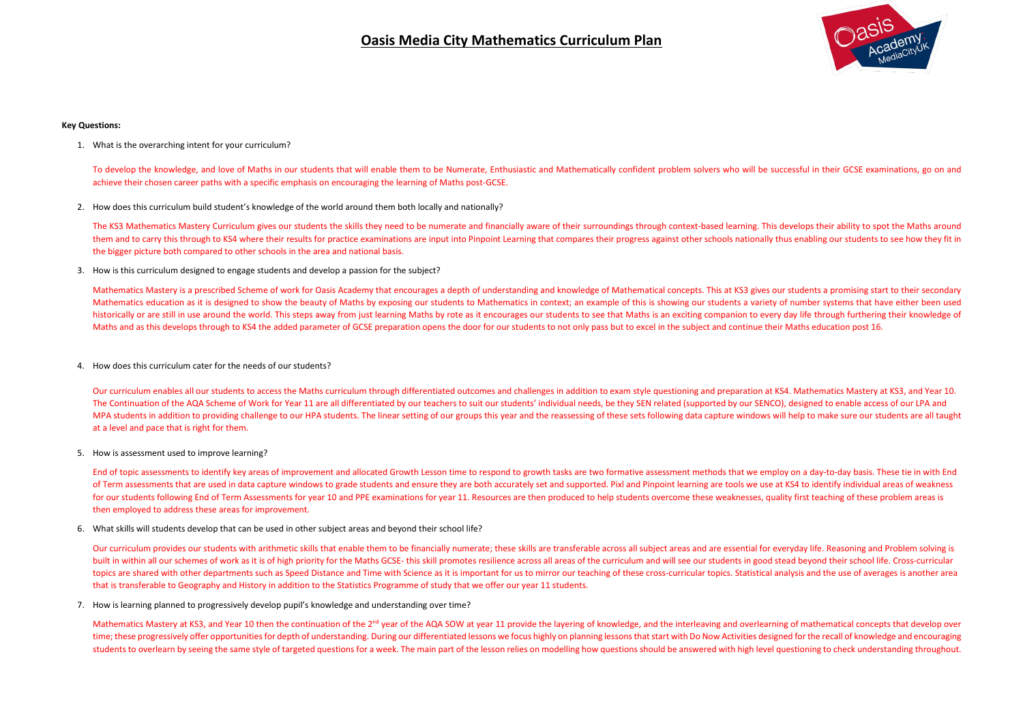### **Key Questions:**

1. What is the overarching intent for your curriculum?

To develop the knowledge, and love of Maths in our students that will enable them to be Numerate, Enthusiastic and Mathematically confident problem solvers who will be successful in their GCSE examinations, go on and achieve their chosen career paths with a specific emphasis on encouraging the learning of Maths post-GCSE.

2. How does this curriculum build student's knowledge of the world around them both locally and nationally?

The KS3 Mathematics Mastery Curriculum gives our students the skills they need to be numerate and financially aware of their surroundings through context-based learning. This develops their ability to spot the Maths around them and to carry this through to KS4 where their results for practice examinations are input into Pinpoint Learning that compares their progress against other schools nationally thus enabling our students to see how they the bigger picture both compared to other schools in the area and national basis.

3. How is this curriculum designed to engage students and develop a passion for the subject?

Mathematics Mastery is a prescribed Scheme of work for Oasis Academy that encourages a depth of understanding and knowledge of Mathematical concepts. This at KS3 gives our students a promising start to their secondary Mathematics education as it is designed to show the beauty of Maths by exposing our students to Mathematics in context; an example of this is showing our students a variety of number systems that have either been used historically or are still in use around the world. This steps away from just learning Maths by rote as it encourages our students to see that Maths is an exciting companion to every day life through furthering their knowle Maths and as this develops through to KS4 the added parameter of GCSE preparation opens the door for our students to not only pass but to excel in the subject and continue their Maths education post 16.

End of topic assessments to identify key areas of improvement and allocated Growth Lesson time to respond to growth tasks are two formative assessment methods that we employ on a day-to-day basis. These tie in with End of Term assessments that are used in data capture windows to grade students and ensure they are both accurately set and supported. Pixl and Pinpoint learning are tools we use at KS4 to identify individual areas of weakness for our students following End of Term Assessments for year 10 and PPE examinations for year 11. Resources are then produced to help students overcome these weaknesses, quality first teaching of these problem areas is then employed to address these areas for improvement.

4. How does this curriculum cater for the needs of our students?

Our curriculum provides our students with arithmetic skills that enable them to be financially numerate; these skills are transferable across all subject areas and are essential for everyday life. Reasoning and Problem sol built in within all our schemes of work as it is of high priority for the Maths GCSE- this skill promotes resilience across all areas of the curriculum and will see our students in good stead beyond their school life. Cros topics are shared with other departments such as Speed Distance and Time with Science as it is important for us to mirror our teaching of these cross-curricular topics. Statistical analysis and the use of averages is anoth that is transferable to Geography and History in addition to the Statistics Programme of study that we offer our year 11 students.

Our curriculum enables all our students to access the Maths curriculum through differentiated outcomes and challenges in addition to exam style questioning and preparation at KS4. Mathematics Mastery at KS3, and Year 10. The Continuation of the AQA Scheme of Work for Year 11 are all differentiated by our teachers to suit our students' individual needs, be they SEN related (supported by our SENCO), designed to enable access of our LPA and MPA students in addition to providing challenge to our HPA students. The linear setting of our groups this year and the reassessing of these sets following data capture windows will help to make sure our students are all t at a level and pace that is right for them.

5. How is assessment used to improve learning?

6. What skills will students develop that can be used in other subject areas and beyond their school life?

7. How is learning planned to progressively develop pupil's knowledge and understanding over time?

Mathematics Mastery at KS3, and Year 10 then the continuation of the 2<sup>nd</sup> year of the AQA SOW at year 11 provide the layering of knowledge, and the interleaving and overlearning of mathematical concepts that develop over time; these progressively offer opportunities for depth of understanding. During our differentiated lessons we focus highly on planning lessons that start with Do Now Activities designed for the recall of knowledge and enc students to overlearn by seeing the same style of targeted questions for a week. The main part of the lesson relies on modelling how questions should be answered with high level questioning to check understanding throughou